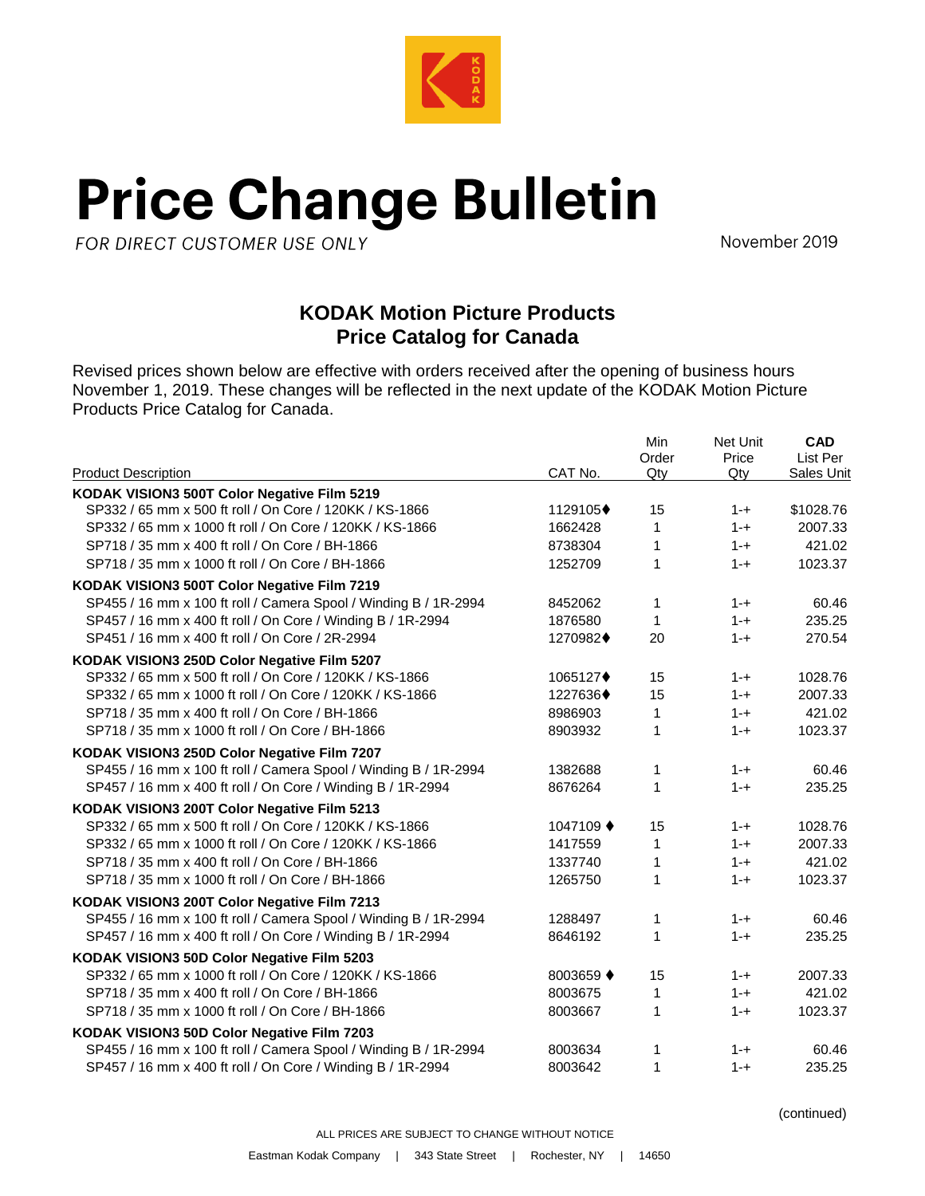

## **Price Change Bulletin**

FOR DIRECT CUSTOMER USE ONLY

November 2019

## **KODAK Motion Picture Products Price Catalog for Canada**

Revised prices shown below are effective with orders received after the opening of business hours November 1, 2019. These changes will be reflected in the next update of the KODAK Motion Picture Products Price Catalog for Canada.

| <b>Product Description</b>                                       | CAT No.   | Min<br>Order<br>Qtv | Net Unit<br>Price<br>Qty | CAD<br>List Per<br>Sales Unit |
|------------------------------------------------------------------|-----------|---------------------|--------------------------|-------------------------------|
| KODAK VISION3 500T Color Negative Film 5219                      |           |                     |                          |                               |
| SP332 / 65 mm x 500 ft roll / On Core / 120KK / KS-1866          | 1129105+  | 15                  | $1 - +$                  | \$1028.76                     |
| SP332 / 65 mm x 1000 ft roll / On Core / 120KK / KS-1866         | 1662428   | 1                   | $1 - +$                  | 2007.33                       |
| SP718 / 35 mm x 400 ft roll / On Core / BH-1866                  | 8738304   | 1                   | $1 - +$                  | 421.02                        |
| SP718 / 35 mm x 1000 ft roll / On Core / BH-1866                 | 1252709   | $\mathbf{1}$        | $1 - +$                  | 1023.37                       |
| KODAK VISION3 500T Color Negative Film 7219                      |           |                     |                          |                               |
| SP455 / 16 mm x 100 ft roll / Camera Spool / Winding B / 1R-2994 | 8452062   | 1                   | $1 - +$                  | 60.46                         |
| SP457 / 16 mm x 400 ft roll / On Core / Winding B / 1R-2994      | 1876580   | 1                   | $1 - +$                  | 235.25                        |
| SP451 / 16 mm x 400 ft roll / On Core / 2R-2994                  | 1270982+  | 20                  | $1 - +$                  | 270.54                        |
| KODAK VISION3 250D Color Negative Film 5207                      |           |                     |                          |                               |
| SP332 / 65 mm x 500 ft roll / On Core / 120KK / KS-1866          | 1065127+  | 15                  | $1 - +$                  | 1028.76                       |
| SP332 / 65 mm x 1000 ft roll / On Core / 120KK / KS-1866         | 1227636+  | 15                  | $1 - +$                  | 2007.33                       |
| SP718 / 35 mm x 400 ft roll / On Core / BH-1866                  | 8986903   | 1                   | $1 - +$                  | 421.02                        |
| SP718 / 35 mm x 1000 ft roll / On Core / BH-1866                 | 8903932   | 1                   | $1 - +$                  | 1023.37                       |
| KODAK VISION3 250D Color Negative Film 7207                      |           |                     |                          |                               |
| SP455 / 16 mm x 100 ft roll / Camera Spool / Winding B / 1R-2994 | 1382688   | 1                   | $1 - +$                  | 60.46                         |
| SP457 / 16 mm x 400 ft roll / On Core / Winding B / 1R-2994      | 8676264   | 1                   | $1 - +$                  | 235.25                        |
| KODAK VISION3 200T Color Negative Film 5213                      |           |                     |                          |                               |
| SP332 / 65 mm x 500 ft roll / On Core / 120KK / KS-1866          | 1047109 ♦ | 15                  | $1 - +$                  | 1028.76                       |
| SP332 / 65 mm x 1000 ft roll / On Core / 120KK / KS-1866         | 1417559   | 1                   | $1 - +$                  | 2007.33                       |
| SP718 / 35 mm x 400 ft roll / On Core / BH-1866                  | 1337740   | $\mathbf{1}$        | $1 - +$                  | 421.02                        |
| SP718 / 35 mm x 1000 ft roll / On Core / BH-1866                 | 1265750   | 1                   | $1 - +$                  | 1023.37                       |
| KODAK VISION3 200T Color Negative Film 7213                      |           |                     |                          |                               |
| SP455 / 16 mm x 100 ft roll / Camera Spool / Winding B / 1R-2994 | 1288497   | 1                   | $1 - +$                  | 60.46                         |
| SP457 / 16 mm x 400 ft roll / On Core / Winding B / 1R-2994      | 8646192   | $\mathbf{1}$        | $1 - +$                  | 235.25                        |
| KODAK VISION3 50D Color Negative Film 5203                       |           |                     |                          |                               |
| SP332 / 65 mm x 1000 ft roll / On Core / 120KK / KS-1866         | 8003659 ♦ | 15                  | $1 - +$                  | 2007.33                       |
| SP718 / 35 mm x 400 ft roll / On Core / BH-1866                  | 8003675   | 1                   | $1 - +$                  | 421.02                        |
| SP718 / 35 mm x 1000 ft roll / On Core / BH-1866                 | 8003667   | 1                   | $1 - +$                  | 1023.37                       |
| KODAK VISION3 50D Color Negative Film 7203                       |           |                     |                          |                               |
| SP455 / 16 mm x 100 ft roll / Camera Spool / Winding B / 1R-2994 | 8003634   | 1                   | $1 - +$                  | 60.46                         |
| SP457 / 16 mm x 400 ft roll / On Core / Winding B / 1R-2994      | 8003642   | 1                   | $1 - +$                  | 235.25                        |

(continued)